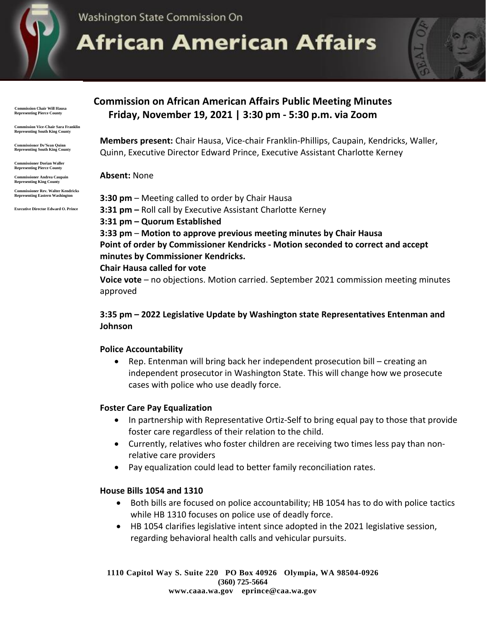

Washington State Commission On

# **African American Affairs**

 **Commission Chair Will Hausa Representing Pierce County**

**Commission Vice-Chair Sara Franklin Representing South King County**

**Commissioner De'Sean Quinn Representing South King County**

**Commissioner Dorian Waller Representing Pierce County**

**Commissioner Andrea Caupain Representing King County**

**Commissioner Rev. Walter Kendricks Representing Eastern Washington**

**Executive Director Edward O. Prince**

# **Commission on African American Affairs Public Meeting Minutes Friday, November 19, 2021 | 3:30 pm - 5:30 p.m. via Zoom**

**Members present:** Chair Hausa, Vice-chair Franklin-Phillips, Caupain, Kendricks, Waller, Quinn, Executive Director Edward Prince, Executive Assistant Charlotte Kerney

#### **Absent:** None

**3:30 pm** – Meeting called to order by Chair Hausa **3:31 pm –** Roll call by Executive Assistant Charlotte Kerney **3:31 pm – Quorum Established 3:33 pm** – **Motion to approve previous meeting minutes by Chair Hausa Point of order by Commissioner Kendricks - Motion seconded to correct and accept minutes by Commissioner Kendricks.**

#### **Chair Hausa called for vote**

**Voice vote** – no objections. Motion carried. September 2021 commission meeting minutes approved

# **3:35 pm – 2022 Legislative Update by Washington state Representatives Entenman and Johnson**

### **Police Accountability**

• Rep. Entenman will bring back her independent prosecution bill – creating an independent prosecutor in Washington State. This will change how we prosecute cases with police who use deadly force.

### **Foster Care Pay Equalization**

- In partnership with Representative Ortiz-Self to bring equal pay to those that provide foster care regardless of their relation to the child.
- Currently, relatives who foster children are receiving two times less pay than nonrelative care providers
- Pay equalization could lead to better family reconciliation rates.

### **House Bills 1054 and 1310**

- Both bills are focused on police accountability; HB 1054 has to do with police tactics while HB 1310 focuses on police use of deadly force.
- HB 1054 clarifies legislative intent since adopted in the 2021 legislative session, regarding behavioral health calls and vehicular pursuits.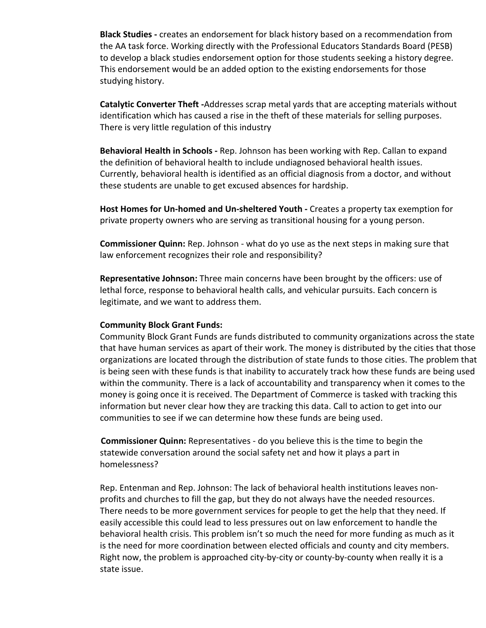**Black Studies -** creates an endorsement for black history based on a recommendation from the AA task force. Working directly with the Professional Educators Standards Board (PESB) to develop a black studies endorsement option for those students seeking a history degree. This endorsement would be an added option to the existing endorsements for those studying history.

**Catalytic Converter Theft -**Addresses scrap metal yards that are accepting materials without identification which has caused a rise in the theft of these materials for selling purposes. There is very little regulation of this industry

**Behavioral Health in Schools -** Rep. Johnson has been working with Rep. Callan to expand the definition of behavioral health to include undiagnosed behavioral health issues. Currently, behavioral health is identified as an official diagnosis from a doctor, and without these students are unable to get excused absences for hardship.

**Host Homes for Un-homed and Un-sheltered Youth -** Creates a property tax exemption for private property owners who are serving as transitional housing for a young person.

**Commissioner Quinn:** Rep. Johnson - what do yo use as the next steps in making sure that law enforcement recognizes their role and responsibility?

**Representative Johnson:** Three main concerns have been brought by the officers: use of lethal force, response to behavioral health calls, and vehicular pursuits. Each concern is legitimate, and we want to address them.

#### **Community Block Grant Funds:**

Community Block Grant Funds are funds distributed to community organizations across the state that have human services as apart of their work. The money is distributed by the cities that those organizations are located through the distribution of state funds to those cities. The problem that is being seen with these funds is that inability to accurately track how these funds are being used within the community. There is a lack of accountability and transparency when it comes to the money is going once it is received. The Department of Commerce is tasked with tracking this information but never clear how they are tracking this data. Call to action to get into our communities to see if we can determine how these funds are being used.

 **Commissioner Quinn:** Representatives - do you believe this is the time to begin the statewide conversation around the social safety net and how it plays a part in homelessness?

Rep. Entenman and Rep. Johnson: The lack of behavioral health institutions leaves nonprofits and churches to fill the gap, but they do not always have the needed resources. There needs to be more government services for people to get the help that they need. If easily accessible this could lead to less pressures out on law enforcement to handle the behavioral health crisis. This problem isn't so much the need for more funding as much as it is the need for more coordination between elected officials and county and city members. Right now, the problem is approached city-by-city or county-by-county when really it is a state issue.